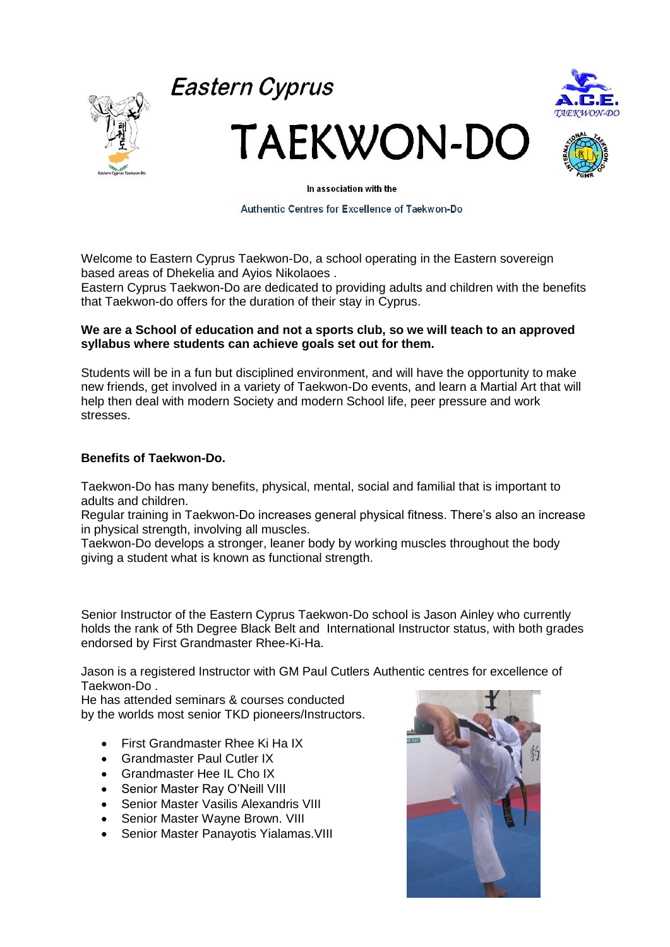



**Eastern Cyprus** 

**TAEKWON-DO** 



In association with the

Authentic Centres for Excellence of Taekwon-Do

Welcome to Eastern Cyprus Taekwon-Do, a school operating in the Eastern sovereign based areas of Dhekelia and Ayios Nikolaoes .

Eastern Cyprus Taekwon-Do are dedicated to providing adults and children with the benefits that Taekwon-do offers for the duration of their stay in Cyprus.

## **We are a School of education and not a sports club, so we will teach to an approved syllabus where students can achieve goals set out for them.**

Students will be in a fun but disciplined environment, and will have the opportunity to make new friends, get involved in a variety of Taekwon-Do events, and learn a Martial Art that will help then deal with modern Society and modern School life, peer pressure and work stresses.

## **Benefits of Taekwon-Do.**

Taekwon-Do has many benefits, physical, mental, social and familial that is important to adults and children.

Regular training in Taekwon-Do increases general physical fitness. There's also an increase in physical strength, involving all muscles.

Taekwon-Do develops a stronger, leaner body by working muscles throughout the body giving a student what is known as functional strength.

Senior Instructor of the Eastern Cyprus Taekwon-Do school is Jason Ainley who currently holds the rank of 5th Degree Black Belt and International Instructor status, with both grades endorsed by First Grandmaster Rhee-Ki-Ha.

Jason is a registered Instructor with GM Paul Cutlers Authentic centres for excellence of Taekwon-Do .

He has attended seminars & courses conducted by the worlds most senior TKD pioneers/Instructors.

- First Grandmaster Rhee Ki Ha IX
- Grandmaster Paul Cutler IX
- Grandmaster Hee IL Cho IX
- Senior Master Ray O'Neill VIII
- Senior Master Vasilis Alexandris VIII
- Senior Master Wayne Brown. VIII
- Senior Master Panayotis Yialamas.VIII